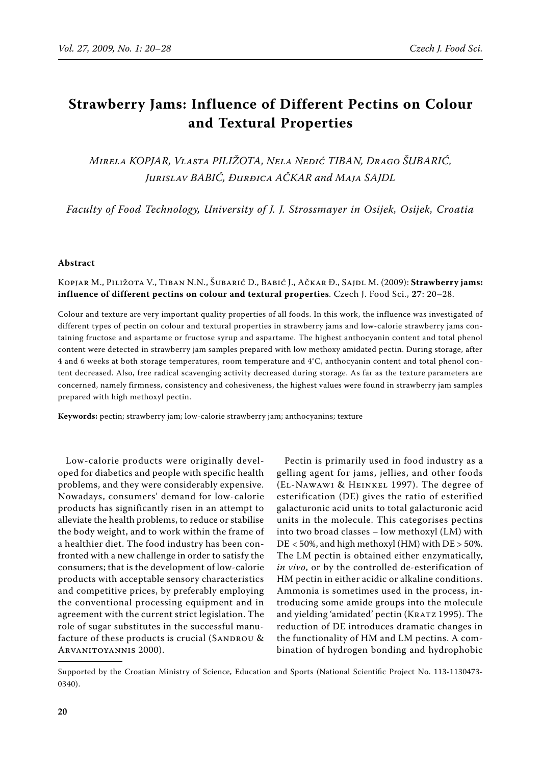# **Strawberry Jams: Influence of Different Pectins on Colour and Textural Properties**

*Mirela KOPJAR, Vlasta PILIŽOTA, Nela Nedić TIBAN, Drago ŠUBARIĆ, Jurislav BABIĆ, Đurđica AČKAR and Maja SAJDL*

*Faculty of Food Technology, University of J. J. Strossmayer in Osijek, Osijek, Croatia*

#### **Abstract**

Kopjar M., Piližota V., Tiban N.N., Šubarić D., Babić J., Ačkar Đ., Sajdl M. (2009): **Strawberry jams: influence of different pectins on colour and textural properties**. Czech J. Food Sci., **27**: 20–28.

Colour and texture are very important quality properties of all foods. In this work, the influence was investigated of different types of pectin on colour and textural properties in strawberry jams and low-calorie strawberry jams containing fructose and aspartame or fructose syrup and aspartame. The highest anthocyanin content and total phenol content were detected in strawberry jam samples prepared with low methoxy amidated pectin. During storage, after 4 and 6 weeks at both storage temperatures, room temperature and 4°C, anthocyanin content and total phenol content decreased. Also, free radical scavenging activity decreased during storage. As far as the texture parameters are concerned, namely firmness, consistency and cohesiveness, the highest values were found in strawberry jam samples prepared with high methoxyl pectin.

**Keywords:** pectin; strawberry jam; low-calorie strawberry jam; anthocyanins; texture

Low-calorie products were originally developed for diabetics and people with specific health problems, and they were considerably expensive. Nowadays, consumers' demand for low-calorie products has significantly risen in an attempt to alleviate the health problems, to reduce or stabilise the body weight, and to work within the frame of a healthier diet. The food industry has been confronted with a new challenge in order to satisfy the consumers; that is the development of low-calorie products with acceptable sensory characteristics and competitive prices, by preferably employing the conventional processing equipment and in agreement with the current strict legislation. The role of sugar substitutes in the successful manufacture of these products is crucial (SANDROU & Arvanitoyannis 2000).

Pectin is primarily used in food industry as a gelling agent for jams, jellies, and other foods (El-Nawawi & Heinkel 1997). The degree of esterification (DE) gives the ratio of esterified galacturonic acid units to total galacturonic acid units in the molecule. This categorises pectins into two broad classes – low methoxyl (LM) with DE < 50%, and high methoxyl (HM) with DE > 50%. The LM pectin is obtained either enzymatically, *in vivo*, or by the controlled de-esterification of HM pectin in either acidic or alkaline conditions. Ammonia is sometimes used in the process, introducing some amide groups into the molecule and yielding 'amidated' pectin (KRATZ 1995). The reduction of DE introduces dramatic changes in the functionality of HM and LM pectins. A combination of hydrogen bonding and hydrophobic

Supported by the Croatian Ministry of Science, Education and Sports (National Scientific Project No. 113-1130473- 0340).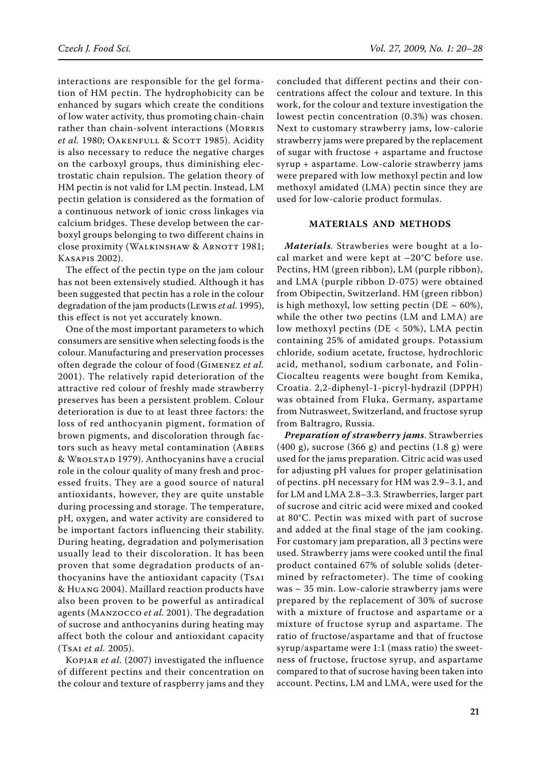interactions are responsible for the gel formation of HM pectin. The hydrophobicity can be enhanced by sugars which create the conditions of low water activity, thus promoting chain-chain rather than chain-solvent interactions (Morris et al. 1980; OAKENFULL & SCOTT 1985). Acidity is also necessary to reduce the negative charges on the carboxyl groups, thus diminishing electrostatic chain repulsion. The gelation theory of HM pectin is not valid for LM pectin. Instead, LM pectin gelation is considered as the formation of a continuous network of ionic cross linkages via calcium bridges. These develop between the carboxyl groups belonging to two different chains in close proximity (WALKINSHAW & ARNOTT 1981; Kasapis 2002).

The effect of the pectin type on the jam colour has not been extensively studied. Although it has been suggested that pectin has a role in the colour degradation of the jam products(Lewis *et al*. 1995), this effect is not yet accurately known.

One of the most important parameters to which consumers are sensitive when selecting foods is the colour. Manufacturing and preservation processes often degrade the colour of food (Gimenez *et al.* 2001). The relatively rapid deterioration of the attractive red colour of freshly made strawberry preserves has been a persistent problem. Colour deterioration is due to at least three factors: the loss of red anthocyanin pigment, formation of brown pigments, and discoloration through factors such as heavy metal contamination (Abers & Wrolstad 1979). Anthocyanins have a crucial role in the colour quality of many fresh and processed fruits. They are a good source of natural antioxidants, however, they are quite unstable during processing and storage. The temperature, pH, oxygen, and water activity are considered to be important factors influencing their stability. During heating, degradation and polymerisation usually lead to their discoloration. It has been proven that some degradation products of anthocyanins have the antioxidant capacity (Tsai & Huang 2004). Maillard reaction products have also been proven to be powerful as antiradical agents (Manzocco *et al.* 2001). The degradation of sucrose and anthocyanins during heating may affect both the colour and antioxidant capacity (Tsai *et al.* 2005).

Kopjar *et al.* (2007) investigated the influence of different pectins and their concentration on the colour and texture of raspberry jams and they concluded that different pectins and their concentrations affect the colour and texture. In this work, for the colour and texture investigation the lowest pectin concentration (0.3%) was chosen. Next to customary strawberry jams, low-calorie strawberry jams were prepared by the replacement of sugar with fructose + aspartame and fructose syrup + aspartame. Low-calorie strawberry jams were prepared with low methoxyl pectin and low methoxyl amidated (LMA) pectin since they are used for low-calorie product formulas.

# **Materials and methods**

*Materials.* Strawberies were bought at a local market and were kept at –20°C before use. Pectins, HM (green ribbon), LM (purple ribbon), and LMA (purple ribbon D-075) were obtained from Obipectin, Switzerland. HM (green ribbon) is high methoxyl, low setting pectin (DE  $\sim$  60%), while the other two pectins (LM and LMA) are low methoxyl pectins (DE < 50%), LMA pectin containing 25% of amidated groups. Potassium chloride, sodium acetate, fructose, hydrochloric acid, methanol, sodium carbonate, and Folin-Ciocalteu reagents were bought from Kemika, Croatia. 2,2-diphenyl-1-picryl-hydrazil (DPPH) was obtained from Fluka, Germany, aspartame from Nutrasweet, Switzerland, and fructose syrup from Baltragro, Russia.

*Preparation of strawberry jams*. Strawberries  $(400 \text{ g})$ , sucrose  $(366 \text{ g})$  and pectins  $(1.8 \text{ g})$  were used for the jams preparation. Citric acid was used for adjusting pH values for proper gelatinisation of pectins. pH necessary for HM was 2.9–3.1, and for LM and LMA 2.8–3.3. Strawberries, larger part of sucrose and citric acid were mixed and cooked at 80°C. Pectin was mixed with part of sucrose and added at the final stage of the jam cooking. For customary jam preparation, all 3 pectins were used. Strawberry jams were cooked until the final product contained 67% of soluble solids (determined by refractometer). The time of cooking was  $\sim$  35 min. Low-calorie strawberry jams were prepared by the replacement of 30% of sucrose with a mixture of fructose and aspartame or a mixture of fructose syrup and aspartame. The ratio of fructose/aspartame and that of fructose syrup/aspartame were 1:1 (mass ratio) the sweetness of fructose, fructose syrup, and aspartame compared to that of sucrose having been taken into account. Pectins, LM and LMA, were used for the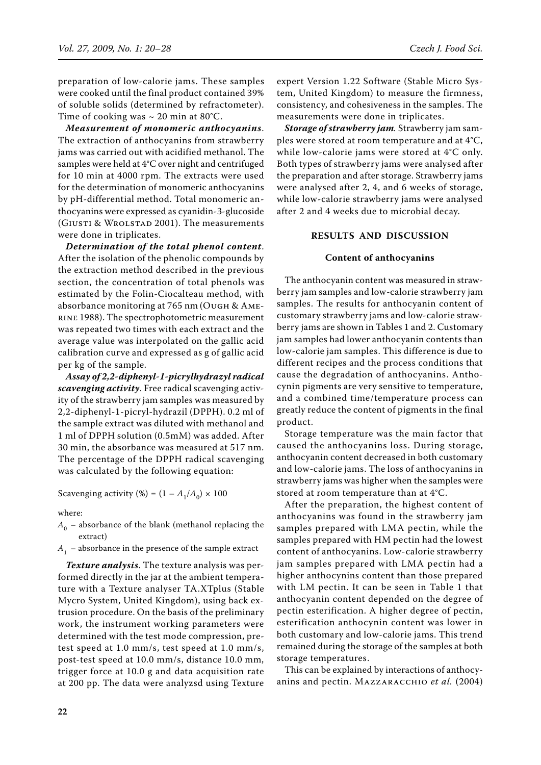preparation of low-calorie jams. These samples were cooked until the final product contained 39% of soluble solids (determined by refractometer). Time of cooking was  $\sim 20$  min at 80°C.

*Measurement of monomeric anthocyanins*. The extraction of anthocyanins from strawberry jams was carried out with acidified methanol. The samples were held at 4°C over night and centrifuged for 10 min at 4000 rpm. The extracts were used for the determination of monomeric anthocyanins by pH-differential method. Total monomeric anthocyanins were expressed as cyanidin-3-glucoside (GIUSTI & WROLSTAD 2001). The measurements were done in triplicates.

*Determination of the total phenol content*. After the isolation of the phenolic compounds by the extraction method described in the previous section, the concentration of total phenols was estimated by the Folin-Ciocalteau method, with absorbance monitoring at 765 nm (Ough & Amerine 1988). The spectrophotometric measurement was repeated two times with each extract and the average value was interpolated on the gallic acid calibration curve and expressed as g of gallic acid per kg of the sample.

*Assay of 2,2-diphenyl-1-picrylhydrazyl radical scavenging activity*. Free radical scavenging activity of the strawberry jam samples was measured by 2,2-diphenyl-1-picryl-hydrazil (DPPH). 0.2 ml of the sample extract was diluted with methanol and 1 ml of DPPH solution (0.5mM) was added. After 30 min, the absorbance was measured at 517 nm. The percentage of the DPPH radical scavenging was calculated by the following equation:

Scavenging activity (%) =  $(1 - A_1/A_0) \times 100$ 

where:

- $A_0$  absorbance of the blank (methanol replacing the extract)
- $A_1$  absorbance in the presence of the sample extract

*Texture analysis*. The texture analysis was performed directly in the jar at the ambient temperature with a Texture analyser TA.XTplus (Stable Mycro System, United Kingdom), using back extrusion procedure. On the basis of the preliminary work, the instrument working parameters were determined with the test mode compression, pretest speed at 1.0 mm/s, test speed at 1.0 mm/s, post-test speed at 10.0 mm/s, distance 10.0 mm, trigger force at 10.0 g and data acquisition rate at 200 pp. The data were analyzsd using Texture

expert Version 1.22 Software (Stable Micro System, United Kingdom) to measure the firmness, consistency, and cohesiveness in the samples. The measurements were done in triplicates.

*Storage of strawberry jam.* Strawberry jam samples were stored at room temperature and at 4°C, while low-calorie jams were stored at 4°C only. Both types of strawberry jams were analysed after the preparation and after storage. Strawberry jams were analysed after 2, 4, and 6 weeks of storage, while low-calorie strawberry jams were analysed after 2 and 4 weeks due to microbial decay.

# **Results and discussion**

#### **Content of anthocyanins**

The anthocyanin content was measured in strawberry jam samples and low-calorie strawberry jam samples. The results for anthocyanin content of customary strawberry jams and low-calorie strawberry jams are shown in Tables 1 and 2. Customary jam samples had lower anthocyanin contents than low-calorie jam samples. This difference is due to different recipes and the process conditions that cause the degradation of anthocyanins. Anthocynin pigments are very sensitive to temperature, and a combined time/temperature process can greatly reduce the content of pigments in the final product.

Storage temperature was the main factor that caused the anthocyanins loss. During storage, anthocyanin content decreased in both customary and low-calorie jams. The loss of anthocyanins in strawberry jams was higher when the samples were stored at room temperature than at 4°C.

After the preparation, the highest content of anthocyanins was found in the strawberry jam samples prepared with LMA pectin, while the samples prepared with HM pectin had the lowest content of anthocyanins. Low-calorie strawberry jam samples prepared with LMA pectin had a higher anthocynins content than those prepared with LM pectin. It can be seen in Table 1 that anthocyanin content depended on the degree of pectin esterification. A higher degree of pectin, esterification anthocynin content was lower in both customary and low-calorie jams. This trend remained during the storage of the samples at both storage temperatures.

This can be explained by interactions of anthocyanins and pectin. MAZZARACCHIO et al. (2004)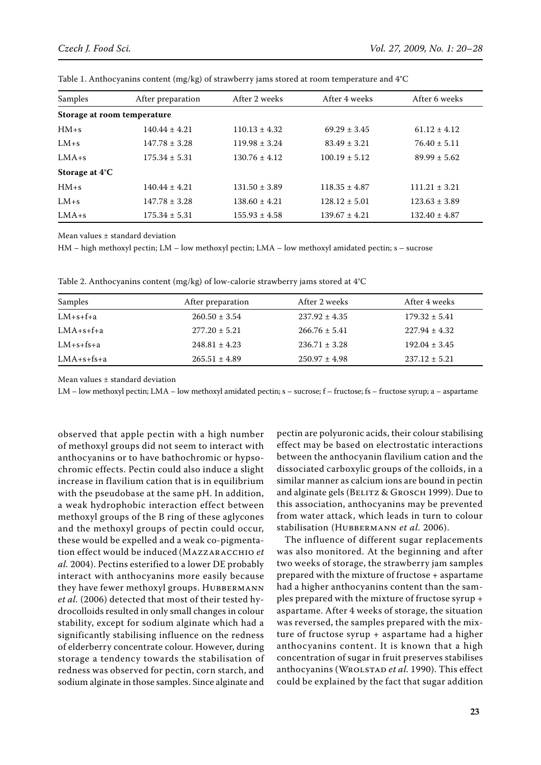| Samples        | After preparation           | After 2 weeks     | After 4 weeks     | After 6 weeks     |  |  |  |
|----------------|-----------------------------|-------------------|-------------------|-------------------|--|--|--|
|                | Storage at room temperature |                   |                   |                   |  |  |  |
| $HM+s$         | $140.44 \pm 4.21$           | $110.13 \pm 4.32$ | $69.29 \pm 3.45$  | $61.12 \pm 4.12$  |  |  |  |
| $LM + s$       | $147.78 \pm 3.28$           | $119.98 \pm 3.24$ | $83.49 \pm 3.21$  | $76.40 \pm 5.11$  |  |  |  |
| $LMA+s$        | $175.34 \pm 5.31$           | $130.76 \pm 4.12$ | $100.19 \pm 5.12$ | $89.99 \pm 5.62$  |  |  |  |
| Storage at 4°C |                             |                   |                   |                   |  |  |  |
| $HM+s$         | $140.44 \pm 4.21$           | $131.50 \pm 3.89$ | $118.35 \pm 4.87$ | $111.21 \pm 3.21$ |  |  |  |
| $LM + s$       | $147.78 \pm 3.28$           | $138.60 \pm 4.21$ | $128.12 \pm 5.01$ | $123.63 \pm 3.89$ |  |  |  |
| $LMA+s$        | $175.34 \pm 5.31$           | $155.93 \pm 4.58$ | $139.67 \pm 4.21$ | $132.40 \pm 4.87$ |  |  |  |

Table 1. Anthocyanins content (mg/kg) of strawberry jams stored at room temperature and 4°C

Mean values ± standard deviation

HM – high methoxyl pectin; LM – low methoxyl pectin; LMA – low methoxyl amidated pectin; s – sucrose

Table 2. Anthocyanins content (mg/kg) of low-calorie strawberry jams stored at 4°C

| Samples           | After preparation | After 2 weeks     | After 4 weeks     |
|-------------------|-------------------|-------------------|-------------------|
| $LM+s+fa$         | $260.50 \pm 3.54$ | $237.92 \pm 4.35$ | $179.32 \pm 5.41$ |
| $LMA+s+f+a$       | $277.20 \pm 5.21$ | $266.76 \pm 5.41$ | $227.94 \pm 4.32$ |
| $LM + s + fs + a$ | $248.81 \pm 4.23$ | $236.71 \pm 3.28$ | $192.04 \pm 3.45$ |
| $LMA+s+fs+a$      | $265.51 \pm 4.89$ | $250.97 \pm 4.98$ | $237.12 \pm 5.21$ |

Mean values ± standard deviation

LM – low methoxyl pectin; LMA – low methoxyl amidated pectin; s – sucrose; f – fructose; fs – fructose syrup; a – aspartame

observed that apple pectin with a high number of methoxyl groups did not seem to interact with anthocyanins or to have bathochromic or hypsochromic effects. Pectin could also induce a slight increase in flavilium cation that is in equilibrium with the pseudobase at the same pH. In addition, a weak hydrophobic interaction effect between methoxyl groups of the B ring of these aglycones and the methoxyl groups of pectin could occur, these would be expelled and a weak co-pigmentation effect would be induced (Mazzaracchio *et al.* 2004). Pectins esterified to a lower DE probably interact with anthocyanins more easily because they have fewer methoxyl groups. HUBBERMANN *et al.* (2006) detected that most of their tested hydrocolloids resulted in only small changes in colour stability, except for sodium alginate which had a significantly stabilising influence on the redness of elderberry concentrate colour. However, during storage a tendency towards the stabilisation of redness was observed for pectin, corn starch, and sodium alginate in those samples. Since alginate and

pectin are polyuronic acids, their colour stabilising effect may be based on electrostatic interactions between the anthocyanin flavilium cation and the dissociated carboxylic groups of the colloids, in a similar manner as calcium ions are bound in pectin and alginate gels (BELITZ & GROSCH 1999). Due to this association, anthocyanins may be prevented from water attack, which leads in turn to colour stabilisation (HUBBERMANN et al. 2006).

The influence of different sugar replacements was also monitored. At the beginning and after two weeks of storage, the strawberry jam samples prepared with the mixture of fructose + aspartame had a higher anthocyanins content than the samples prepared with the mixture of fructose syrup + aspartame. After 4 weeks of storage, the situation was reversed, the samples prepared with the mixture of fructose syrup + aspartame had a higher anthocyanins content. It is known that a high concentration of sugar in fruit preserves stabilises anthocyanins (WROLSTAD et al. 1990). This effect could be explained by the fact that sugar addition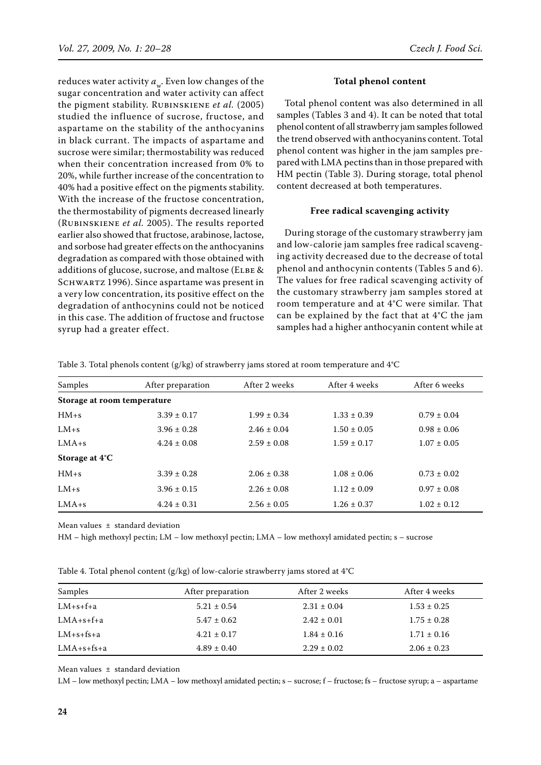reduces water activity  $a_w$ . Even low changes of the sugar concentration and water activity can affect the pigment stability. Rubinskiene *et al.* (2005) studied the influence of sucrose, fructose, and aspartame on the stability of the anthocyanins in black currant. The impacts of aspartame and sucrose were similar; thermostability was reduced when their concentration increased from 0% to 20%, while further increase of the concentration to 40% had a positive effect on the pigments stability. With the increase of the fructose concentration, the thermostability of pigments decreased linearly (Rubinskiene *et al.* 2005). The results reported earlier also showed that fructose, arabinose, lactose, and sorbose had greater effects on the anthocyanins degradation as compared with those obtained with additions of glucose, sucrose, and maltose (ELBE & SCHWARTZ 1996). Since aspartame was present in a very low concentration, its positive effect on the degradation of anthocynins could not be noticed in this case. The addition of fructose and fructose syrup had a greater effect.

# **Total phenol content**

Total phenol content was also determined in all samples (Tables 3 and 4). It can be noted that total phenol content of all strawberry jam samples followed the trend observed with anthocyanins content. Total phenol content was higher in the jam samples prepared with LMA pectins than in those prepared with HM pectin (Table 3). During storage, total phenol content decreased at both temperatures.

### **Free radical scavenging activity**

During storage of the customary strawberry jam and low-calorie jam samples free radical scavenging activity decreased due to the decrease of total phenol and anthocynin contents (Tables 5 and 6). The values for free radical scavenging activity of the customary strawberry jam samples stored at room temperature and at 4°C were similar. That can be explained by the fact that at 4°C the jam samples had a higher anthocyanin content while at

| Samples                     | After preparation | After 2 weeks   | After 4 weeks   | After 6 weeks   |
|-----------------------------|-------------------|-----------------|-----------------|-----------------|
| Storage at room temperature |                   |                 |                 |                 |
| $HM+s$                      | $3.39 \pm 0.17$   | $1.99 \pm 0.34$ | $1.33 \pm 0.39$ | $0.79 \pm 0.04$ |
| $LM + s$                    | $3.96 \pm 0.28$   | $2.46 \pm 0.04$ | $1.50 \pm 0.05$ | $0.98 \pm 0.06$ |
| $LMA+s$                     | $4.24 \pm 0.08$   | $2.59 \pm 0.08$ | $1.59 \pm 0.17$ | $1.07 \pm 0.05$ |
| Storage at 4°C              |                   |                 |                 |                 |
| $HM+s$                      | $3.39 \pm 0.28$   | $2.06 \pm 0.38$ | $1.08 \pm 0.06$ | $0.73 \pm 0.02$ |
| $LM + s$                    | $3.96 \pm 0.15$   | $2.26 \pm 0.08$ | $1.12 \pm 0.09$ | $0.97 \pm 0.08$ |
| $LMA+s$                     | $4.24 \pm 0.31$   | $2.56 \pm 0.05$ | $1.26 \pm 0.37$ | $1.02 \pm 0.12$ |

Table 3. Total phenols content (g/kg) of strawberry jams stored at room temperature and  $4^{\circ}C$ 

Mean values ± standard deviation

HM – high methoxyl pectin; LM – low methoxyl pectin; LMA – low methoxyl amidated pectin; s – sucrose

Table 4. Total phenol content (g/kg) of low-calorie strawberry jams stored at 4°C

| Samples           | After preparation | After 2 weeks   | After 4 weeks   |
|-------------------|-------------------|-----------------|-----------------|
| $LM + s + f + a$  | $5.21 \pm 0.54$   | $2.31 \pm 0.04$ | $1.53 \pm 0.25$ |
| $LMA+s+f+a$       | $5.47 \pm 0.62$   | $2.42 \pm 0.01$ | $1.75 \pm 0.28$ |
| $LM + s + fs + a$ | $4.21 \pm 0.17$   | $1.84 \pm 0.16$ | $1.71 \pm 0.16$ |
| $LMA+s+fs+a$      | $4.89 \pm 0.40$   | $2.29 \pm 0.02$ | $2.06 \pm 0.23$ |

Mean values ± standard deviation

 $LM$  – low methoxyl pectin;  $LMA$  – low methoxyl amidated pectin;  $s$  – sucrose;  $f$  – fructose;  $fs$  – fructose syrup; a – aspartame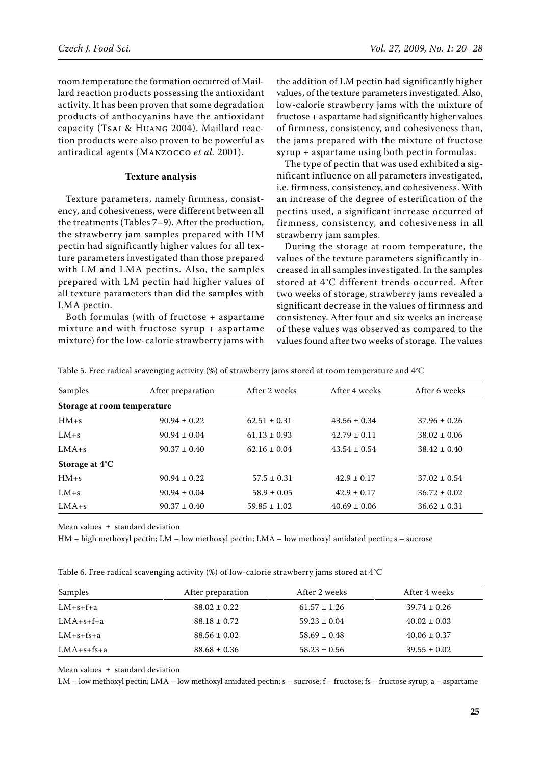room temperature the formation occurred of Maillard reaction products possessing the antioxidant activity. It has been proven that some degradation products of anthocyanins have the antioxidant capacity (Tsai & Huang 2004). Maillard reaction products were also proven to be powerful as antiradical agents (Manzocco *et al.* 2001).

#### **Texture analysis**

Texture parameters, namely firmness, consistency, and cohesiveness, were different between all the treatments (Tables 7–9). After the production, the strawberry jam samples prepared with HM pectin had significantly higher values for all texture parameters investigated than those prepared with LM and LMA pectins. Also, the samples prepared with LM pectin had higher values of all texture parameters than did the samples with LMA pectin.

Both formulas (with of fructose + aspartame mixture and with fructose syrup + aspartame mixture) for the low-calorie strawberry jams with

the addition of LM pectin had significantly higher values, of the texture parameters investigated. Also, low-calorie strawberry jams with the mixture of fructose + aspartame had significantly higher values of firmness, consistency, and cohesiveness than, the jams prepared with the mixture of fructose syrup + aspartame using both pectin formulas.

The type of pectin that was used exhibited a significant influence on all parameters investigated, i.e. firmness, consistency, and cohesiveness. With an increase of the degree of esterification of the pectins used, a significant increase occurred of firmness, consistency, and cohesiveness in all strawberry jam samples.

During the storage at room temperature, the values of the texture parameters significantly increased in all samples investigated. In the samples stored at 4°C different trends occurred. After two weeks of storage, strawberry jams revealed a significant decrease in the values of firmness and consistency. After four and six weeks an increase of these values was observed as compared to the values found after two weeks of storage. The values

Table 5. Free radical scavenging activity (%) of strawberry jams stored at room temperature and 4°C

| Samples                     | After preparation | After 2 weeks    | After 4 weeks    | After 6 weeks    |
|-----------------------------|-------------------|------------------|------------------|------------------|
| Storage at room temperature |                   |                  |                  |                  |
| $HM+s$                      | $90.94 \pm 0.22$  | $62.51 \pm 0.31$ | $43.56 \pm 0.34$ | $37.96 \pm 0.26$ |
| $LM + s$                    | $90.94 \pm 0.04$  | $61.13 \pm 0.93$ | $42.79 \pm 0.11$ | $38.02 \pm 0.06$ |
| $LMA+s$                     | $90.37 \pm 0.40$  | $62.16 \pm 0.04$ | $43.54 \pm 0.54$ | $38.42 \pm 0.40$ |
| Storage at 4°C              |                   |                  |                  |                  |
| $HM+s$                      | $90.94 \pm 0.22$  | $57.5 \pm 0.31$  | $42.9 \pm 0.17$  | $37.02 \pm 0.54$ |
| $LM + s$                    | $90.94 \pm 0.04$  | $58.9 \pm 0.05$  | $42.9 \pm 0.17$  | $36.72 \pm 0.02$ |
| $LMA+s$                     | $90.37 \pm 0.40$  | $59.85 \pm 1.02$ | $40.69 \pm 0.06$ | $36.62 \pm 0.31$ |

Mean values ± standard deviation

HM – high methoxyl pectin; LM – low methoxyl pectin; LMA – low methoxyl amidated pectin; s – sucrose

Table 6. Free radical scavenging activity (%) of low-calorie strawberry jams stored at 4°C

| Samples           | After preparation | After 2 weeks    | After 4 weeks    |
|-------------------|-------------------|------------------|------------------|
| $LM + s + f + a$  | $88.02 \pm 0.22$  | $61.57 \pm 1.26$ | $39.74 \pm 0.26$ |
| $LMA+s+f+a$       | $88.18 \pm 0.72$  | $59.23 \pm 0.04$ | $40.02 \pm 0.03$ |
| $LM + s + fs + a$ | $88.56 \pm 0.02$  | $58.69 \pm 0.48$ | $40.06 \pm 0.37$ |
| $LMA+s+fs+a$      | $88.68 \pm 0.36$  | $58.23 \pm 0.56$ | $39.55 \pm 0.02$ |

Mean values ± standard deviation

 $LM$  – low methoxyl pectin;  $LMA$  – low methoxyl amidated pectin;  $s$  – sucrose;  $f$  – fructose;  $fs$  – fructose syrup; a – aspartame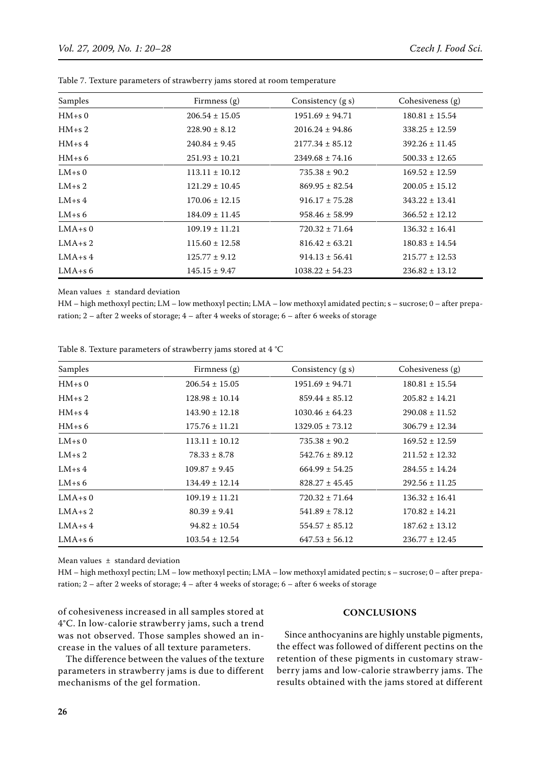| Samples     | Firmness $(g)$     | Consistency (g s)   | Cohesiveness (g)   |
|-------------|--------------------|---------------------|--------------------|
| $HM+s0$     | $206.54 \pm 15.05$ | $1951.69 \pm 94.71$ | $180.81 \pm 15.54$ |
| $HM+s2$     | $228.90 \pm 8.12$  | $2016.24 \pm 94.86$ | $338.25 \pm 12.59$ |
| $HM+s4$     | $240.84 \pm 9.45$  | $2177.34 \pm 85.12$ | $392.26 \pm 11.45$ |
| $HM+s6$     | $251.93 \pm 10.21$ | $2349.68 \pm 74.16$ | $500.33 \pm 12.65$ |
| $LM + s$ 0  | $113.11 \pm 10.12$ | $735.38 \pm 90.2$   | $169.52 \pm 12.59$ |
| $LM + s$ 2  | $121.29 \pm 10.45$ | $869.95 \pm 82.54$  | $200.05 \pm 15.12$ |
| $LM + s$ 4  | $170.06 \pm 12.15$ | $916.17 \pm 75.28$  | $343.22 \pm 13.41$ |
| $LM + s$ 6  | $184.09 \pm 11.45$ | $958.46 \pm 58.99$  | $366.52 \pm 12.12$ |
| $LMA + s$ 0 | $109.19 \pm 11.21$ | $720.32 \pm 71.64$  | $136.32 \pm 16.41$ |
| $LMA+s2$    | $115.60 \pm 12.58$ | $816.42 \pm 63.21$  | $180.83 \pm 14.54$ |
| $LMA + S$   | $125.77 \pm 9.12$  | $914.13 \pm 56.41$  | $215.77 \pm 12.53$ |
| $LMA+s6$    | $145.15 \pm 9.47$  | $1038.22 \pm 54.23$ | $236.82 \pm 13.12$ |

Table 7. Texture parameters of strawberry jams stored at room temperature

Mean values ± standard deviation

HM – high methoxyl pectin; LM – low methoxyl pectin; LMA – low methoxyl amidated pectin; s – sucrose; 0 – after preparation; 2 – after 2 weeks of storage; 4 – after 4 weeks of storage; 6 – after 6 weeks of storage

Table 8. Texture parameters of strawberry jams stored at 4 °C

| Samples     | Firmness (g)       | Consistency (g s)   | Cohesiveness (g)   |
|-------------|--------------------|---------------------|--------------------|
| $HM+s0$     | $206.54 \pm 15.05$ | $1951.69 \pm 94.71$ | $180.81 \pm 15.54$ |
| $HM+s2$     | $128.98 \pm 10.14$ | $859.44 \pm 85.12$  | $205.82 \pm 14.21$ |
| $HM+s4$     | $143.90 \pm 12.18$ | $1030.46 \pm 64.23$ | $290.08 \pm 11.52$ |
| $HM+s 6$    | $175.76 \pm 11.21$ | $1329.05 \pm 73.12$ | $306.79 \pm 12.34$ |
| $LM + s$ 0  | $113.11 \pm 10.12$ | $735.38 \pm 90.2$   | $169.52 \pm 12.59$ |
| $LM + s$ 2  | $78.33 \pm 8.78$   | $542.76 \pm 89.12$  | $211.52 \pm 12.32$ |
| $LM + s$ 4  | $109.87 \pm 9.45$  | $664.99 \pm 54.25$  | $284.55 \pm 14.24$ |
| $LM + s$ 6  | $134.49 \pm 12.14$ | $828.27 \pm 45.45$  | $292.56 \pm 11.25$ |
| $LMA + s$ 0 | $109.19 \pm 11.21$ | $720.32 \pm 71.64$  | $136.32 \pm 16.41$ |
| $LMA+s2$    | $80.39 \pm 9.41$   | $541.89 \pm 78.12$  | $170.82 \pm 14.21$ |
| $LMA + S$   | $94.82 \pm 10.54$  | $554.57 \pm 85.12$  | $187.62 \pm 13.12$ |
| $LMA+s6$    | $103.54 \pm 12.54$ | $647.53 \pm 56.12$  | $236.77 \pm 12.45$ |

Mean values ± standard deviation

HM – high methoxyl pectin; LM – low methoxyl pectin; LMA – low methoxyl amidated pectin; s – sucrose; 0 – after preparation; 2 – after 2 weeks of storage; 4 – after 4 weeks of storage; 6 – after 6 weeks of storage

of cohesiveness increased in all samples stored at 4°C. In low-calorie strawberry jams, such a trend was not observed. Those samples showed an increase in the values of all texture parameters.

The difference between the values of the texture parameters in strawberry jams is due to different mechanisms of the gel formation.

# **Conclusions**

Since anthocyanins are highly unstable pigments, the effect was followed of different pectins on the retention of these pigments in customary strawberry jams and low-calorie strawberry jams. The results obtained with the jams stored at different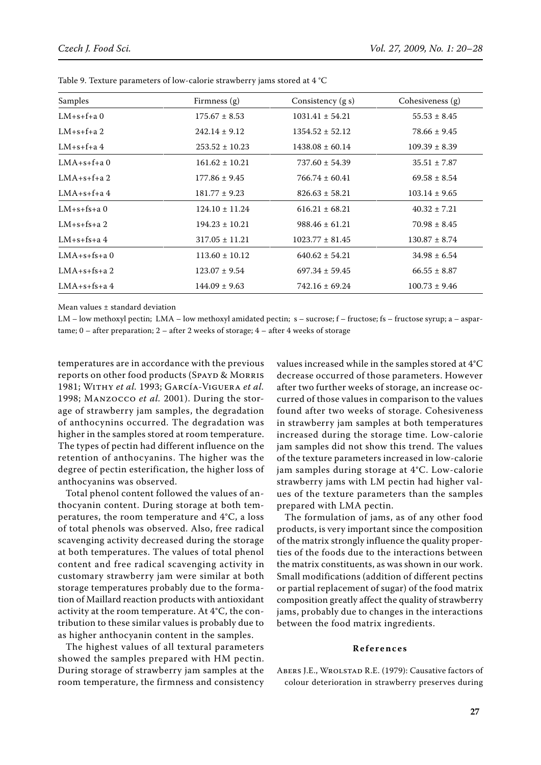| Samples         | Firmness $(g)$     | Consistency (g s)   | Cohesiveness (g)  |
|-----------------|--------------------|---------------------|-------------------|
| $LM+s+f+a0$     | $175.67 \pm 8.53$  | $1031.41 \pm 54.21$ | $55.53 \pm 8.45$  |
| $LM+s+f+a2$     | $242.14 \pm 9.12$  | $1354.52 \pm 52.12$ | $78.66 \pm 9.45$  |
| $LM+s+f+a4$     | $253.52 \pm 10.23$ | $1438.08 \pm 60.14$ | $109.39 \pm 8.39$ |
| $LMA+s+f+a$ 0   | $161.62 \pm 10.21$ | $737.60 \pm 54.39$  | $35.51 \pm 7.87$  |
| $LMA+s+f+a2$    | $177.86 \pm 9.45$  | $766.74 \pm 60.41$  | $69.58 \pm 8.54$  |
| $LMA+s+f+a4$    | $181.77 \pm 9.23$  | $826.63 \pm 58.21$  | $103.14 \pm 9.65$ |
| $LM+s+fs+a0$    | $124.10 \pm 11.24$ | $616.21 \pm 68.21$  | $40.32 \pm 7.21$  |
| LM $+s$ +fs+a 2 | $194.23 \pm 10.21$ | $988.46 \pm 61.21$  | $70.98 \pm 8.45$  |
| $LM+s+fs+a$ 4   | $317.05 \pm 11.21$ | $1023.77 \pm 81.45$ | $130.87 \pm 8.74$ |
| $LMA+s+fs+a$ 0  | $113.60 \pm 10.12$ | $640.62 \pm 54.21$  | $34.98 \pm 6.54$  |
| $LMA+s+fs+a2$   | $123.07 \pm 9.54$  | $697.34 \pm 59.45$  | $66.55 \pm 8.87$  |
| $LMA+s+fs+a4$   | $144.09 \pm 9.63$  | $742.16 \pm 69.24$  | $100.73 \pm 9.46$ |

Table 9. Texture parameters of low-calorie strawberry jams stored at 4 °C

Mean values ± standard deviation

LM – low methoxyl pectin; LMA – low methoxyl amidated pectin; s – sucrose; f – fructose; fs – fructose syrup; a – aspartame; 0 – after preparation; 2 – after 2 weeks of storage; 4 – after 4 weeks of storage

temperatures are in accordance with the previous reports on other food products (SPAYD & MORRIS 1981; Withy *et al.* 1993; García-Viguera *et al.* 1998; Manzocco *et al.* 2001). During the storage of strawberry jam samples, the degradation of anthocynins occurred. The degradation was higher in the samples stored at room temperature. The types of pectin had different influence on the retention of anthocyanins. The higher was the degree of pectin esterification, the higher loss of anthocyanins was observed.

Total phenol content followed the values of anthocyanin content. During storage at both temperatures, the room temperature and 4°C, a loss of total phenols was observed. Also, free radical scavenging activity decreased during the storage at both temperatures. The values of total phenol content and free radical scavenging activity in customary strawberry jam were similar at both storage temperatures probably due to the formation of Maillard reaction products with antioxidant activity at the room temperature. At 4°C, the contribution to these similar values is probably due to as higher anthocyanin content in the samples.

The highest values of all textural parameters showed the samples prepared with HM pectin. During storage of strawberry jam samples at the room temperature, the firmness and consistency values increased while in the samples stored at 4°C decrease occurred of those parameters. However after two further weeks of storage, an increase occurred of those values in comparison to the values found after two weeks of storage. Cohesiveness in strawberry jam samples at both temperatures increased during the storage time. Low-calorie jam samples did not show this trend. The values of the texture parameters increased in low-calorie jam samples during storage at 4°C. Low-calorie strawberry jams with LM pectin had higher values of the texture parameters than the samples prepared with LMA pectin.

The formulation of jams, as of any other food products, is very important since the composition of the matrix strongly influence the quality properties of the foods due to the interactions between the matrix constituents, as was shown in our work. Small modifications (addition of different pectins or partial replacement of sugar) of the food matrix composition greatly affect the quality of strawberry jams, probably due to changes in the interactions between the food matrix ingredients.

#### **Re f e r e n c e s**

ABERS J.E., WROLSTAD R.E. (1979): Causative factors of colour deterioration in strawberry preserves during